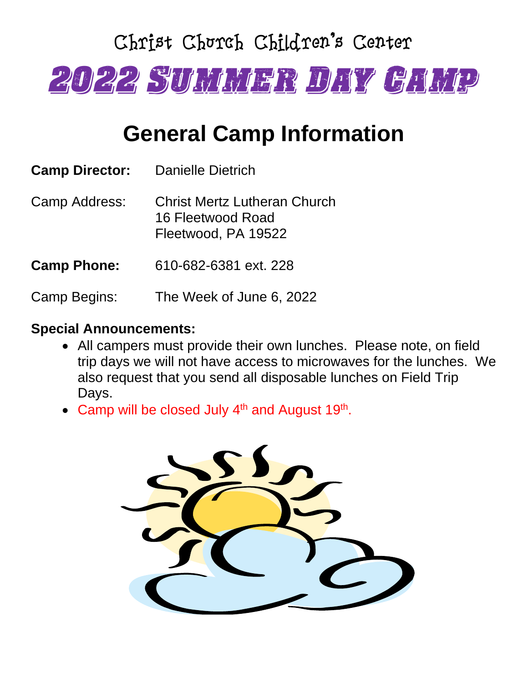# Christ Church Children's Center 2022 Summer Day Camp

## **General Camp Information**

| <b>Camp Director:</b> | Danielle Dietrich                                                        |
|-----------------------|--------------------------------------------------------------------------|
| Camp Address:         | Christ Mertz Lutheran Church<br>16 Fleetwood Road<br>Fleetwood, PA 19522 |
| <b>Camp Phone:</b>    | 610-682-6381 ext. 228                                                    |
|                       |                                                                          |

Camp Begins: The Week of June 6, 2022

#### **Special Announcements:**

- All campers must provide their own lunches. Please note, on field trip days we will not have access to microwaves for the lunches. We also request that you send all disposable lunches on Field Trip Days.
- Camp will be closed July  $4<sup>th</sup>$  and August 19<sup>th</sup>.

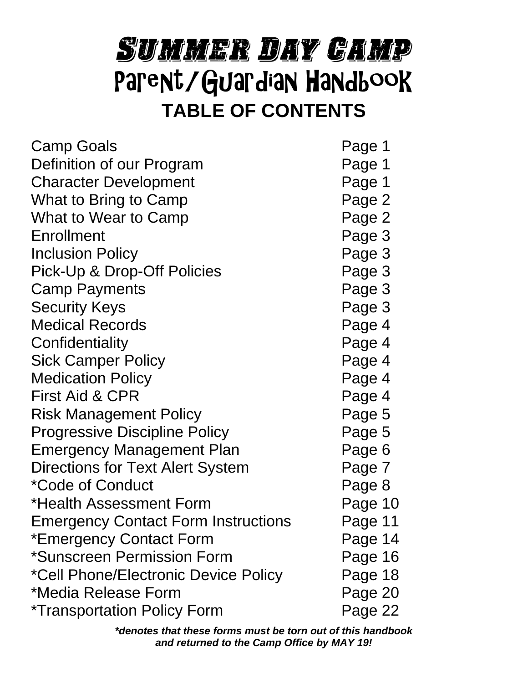# Summer Day Camp Parent/Guardian Handbook **TABLE OF CONTENTS**

| <b>Camp Goals</b>                          | Page 1  |
|--------------------------------------------|---------|
| Definition of our Program                  | Page 1  |
| <b>Character Development</b>               | Page 1  |
| What to Bring to Camp                      | Page 2  |
| What to Wear to Camp                       | Page 2  |
| Enrollment                                 | Page 3  |
| <b>Inclusion Policy</b>                    | Page 3  |
| Pick-Up & Drop-Off Policies                | Page 3  |
| <b>Camp Payments</b>                       | Page 3  |
| <b>Security Keys</b>                       | Page 3  |
| <b>Medical Records</b>                     | Page 4  |
| Confidentiality                            | Page 4  |
| <b>Sick Camper Policy</b>                  | Page 4  |
| <b>Medication Policy</b>                   | Page 4  |
| <b>First Aid &amp; CPR</b>                 | Page 4  |
| <b>Risk Management Policy</b>              | Page 5  |
| <b>Progressive Discipline Policy</b>       | Page 5  |
| Emergency Management Plan                  | Page 6  |
| Directions for Text Alert System           | Page 7  |
| *Code of Conduct                           | Page 8  |
| *Health Assessment Form                    | Page 10 |
| <b>Emergency Contact Form Instructions</b> | Page 11 |
| *Emergency Contact Form                    | Page 14 |
| *Sunscreen Permission Form                 | Page 16 |
| *Cell Phone/Electronic Device Policy       | Page 18 |
| *Media Release Form                        | Page 20 |
| <i>*</i> Transportation Policy Form        | Page 22 |

*\*denotes that these forms must be torn out of this handbook and returned to the Camp Office by MAY 19!*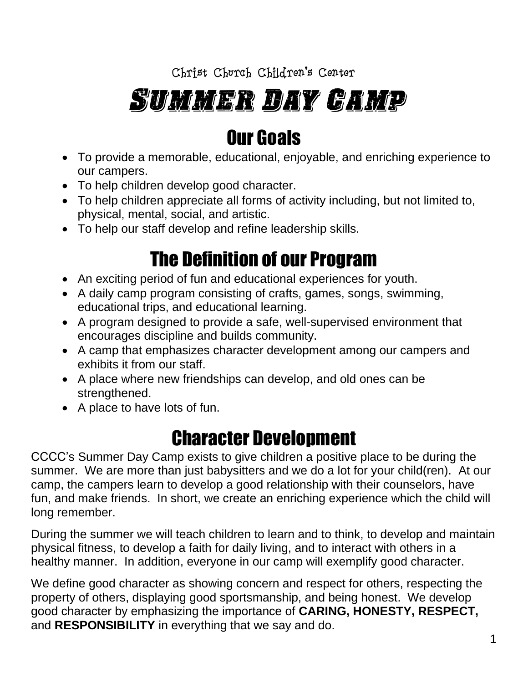# Summer Day Camp

### Our Goals

- To provide a memorable, educational, enjoyable, and enriching experience to our campers.
- To help children develop good character.
- To help children appreciate all forms of activity including, but not limited to, physical, mental, social, and artistic.
- To help our staff develop and refine leadership skills.

### The Definition of our Program

- An exciting period of fun and educational experiences for youth.
- A daily camp program consisting of crafts, games, songs, swimming, educational trips, and educational learning.
- A program designed to provide a safe, well-supervised environment that encourages discipline and builds community.
- A camp that emphasizes character development among our campers and exhibits it from our staff.
- A place where new friendships can develop, and old ones can be strengthened.
- A place to have lots of fun.

### Character Development

CCCC's Summer Day Camp exists to give children a positive place to be during the summer. We are more than just babysitters and we do a lot for your child(ren). At our camp, the campers learn to develop a good relationship with their counselors, have fun, and make friends. In short, we create an enriching experience which the child will long remember.

During the summer we will teach children to learn and to think, to develop and maintain physical fitness, to develop a faith for daily living, and to interact with others in a healthy manner. In addition, everyone in our camp will exemplify good character.

We define good character as showing concern and respect for others, respecting the property of others, displaying good sportsmanship, and being honest. We develop good character by emphasizing the importance of **CARING, HONESTY, RESPECT,**  and **RESPONSIBILITY** in everything that we say and do.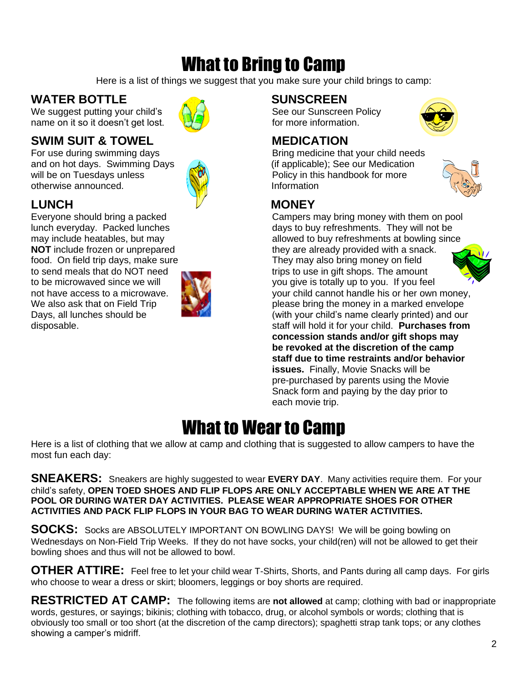### What to Bring to Camp

Here is a list of things we suggest that you make sure your child brings to camp:

#### WATER BOTTLE **AND SUNSCREEN**

We suggest putting your child's  $\langle \bigcirc \bigcirc \bigcirc$  See our Sunscreen Policy name on it so it doesn't get lost.  $\mathbb{H}\mathbb{H}$  for more information.

#### **SWIM SUIT & TOWEL MEDICATION**

and on hot days. Swimming Days (a) (if applicable); See our Medication will be on Tuesdays unless  $\mathbb{R}^n$  Policy in this handbook for more otherwise announced. The state of the linformation

food. On field trip days, make sure They may also bring money on field



For use during swimming days Theorem and Bring medicine that your child needs



#### LUNCH **MONEY**



#### What to Wear to Camp

Here is a list of clothing that we allow at camp and clothing that is suggested to allow campers to have the most fun each day:

**SNEAKERS:** Sneakers are highly suggested to wear **EVERY DAY**. Many activities require them. For your child's safety, **OPEN TOED SHOES AND FLIP FLOPS ARE ONLY ACCEPTABLE WHEN WE ARE AT THE POOL OR DURING WATER DAY ACTIVITIES. PLEASE WEAR APPROPRIATE SHOES FOR OTHER ACTIVITIES AND PACK FLIP FLOPS IN YOUR BAG TO WEAR DURING WATER ACTIVITIES.**

**SOCKS:** Socks are ABSOLUTELY IMPORTANT ON BOWLING DAYS! We will be going bowling on Wednesdays on Non-Field Trip Weeks. If they do not have socks, your child(ren) will not be allowed to get their bowling shoes and thus will not be allowed to bowl.

**OTHER ATTIRE:** Feel free to let your child wear T-Shirts, Shorts, and Pants during all camp days. For girls who choose to wear a dress or skirt; bloomers, leggings or boy shorts are required.

**RESTRICTED AT CAMP:** The following items are **not allowed** at camp; clothing with bad or inappropriate words, gestures, or sayings; bikinis; clothing with tobacco, drug, or alcohol symbols or words; clothing that is obviously too small or too short (at the discretion of the camp directors); spaghetti strap tank tops; or any clothes showing a camper's midriff.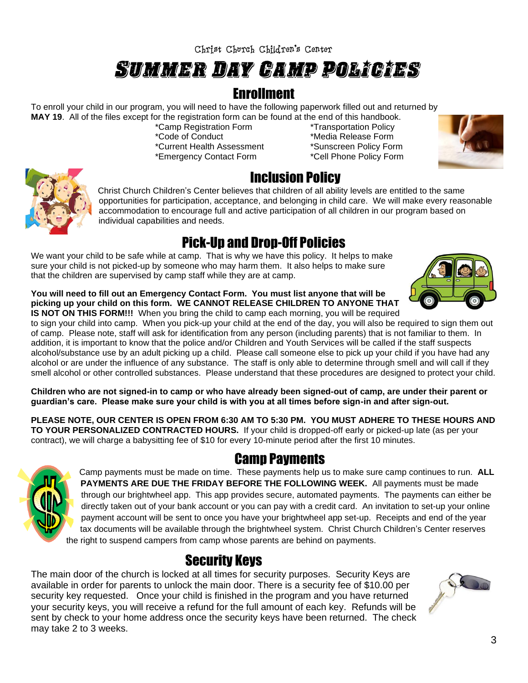### Summer Day Camp Policies

#### **Enrollment**

To enroll your child in our program, you will need to have the following paperwork filled out and returned by **MAY 19**. All of the files except for the registration form can be found at the end of this handbook.

\*Current Health Assessment \*Sunscreen Policy Form \*Emergency Contact Form \*Cell Phone Policy Form

\*Camp Registration Form \*Transportation Policy \*Media Release Form



#### Pick-Up and Drop-Off Policies

We want your child to be safe while at camp. That is why we have this policy. It helps to make sure your child is not picked-up by someone who may harm them. It also helps to make sure that the children are supervised by camp staff while they are at camp.

**You will need to fill out an Emergency Contact Form. You must list anyone that will be picking up your child on this form. WE CANNOT RELEASE CHILDREN TO ANYONE THAT IS NOT ON THIS FORM!!!** When you bring the child to camp each morning, you will be required

to sign your child into camp. When you pick-up your child at the end of the day, you will also be required to sign them out of camp. Please note, staff will ask for identification from any person (including parents) that is not familiar to them. In addition, it is important to know that the police and/or Children and Youth Services will be called if the staff suspects alcohol/substance use by an adult picking up a child. Please call someone else to pick up your child if you have had any alcohol or are under the influence of any substance. The staff is only able to determine through smell and will call if they smell alcohol or other controlled substances. Please understand that these procedures are designed to protect your child.

**Children who are not signed-in to camp or who have already been signed-out of camp, are under their parent or guardian's care. Please make sure your child is with you at all times before sign-in and after sign-out.**

**PLEASE NOTE, OUR CENTER IS OPEN FROM 6:30 AM TO 5:30 PM. YOU MUST ADHERE TO THESE HOURS AND TO YOUR PERSONALIZED CONTRACTED HOURS.** If your child is dropped-off early or picked-up late (as per your contract), we will charge a babysitting fee of \$10 for every 10-minute period after the first 10 minutes.

#### Camp Payments



Camp payments must be made on time. These payments help us to make sure camp continues to run. **ALL PAYMENTS ARE DUE THE FRIDAY BEFORE THE FOLLOWING WEEK.** All payments must be made through our brightwheel app. This app provides secure, automated payments. The payments can either be directly taken out of your bank account or you can pay with a credit card. An invitation to set-up your online payment account will be sent to once you have your brightwheel app set-up. Receipts and end of the year tax documents will be available through the brightwheel system. Christ Church Children's Center reserves the right to suspend campers from camp whose parents are behind on payments.

#### Security Keys

The main door of the church is locked at all times for security purposes. Security Keys are available in order for parents to unlock the main door. There is a security fee of \$10.00 per security key requested. Once your child is finished in the program and you have returned your security keys, you will receive a refund for the full amount of each key. Refunds will be sent by check to your home address once the security keys have been returned. The check may take 2 to 3 weeks.





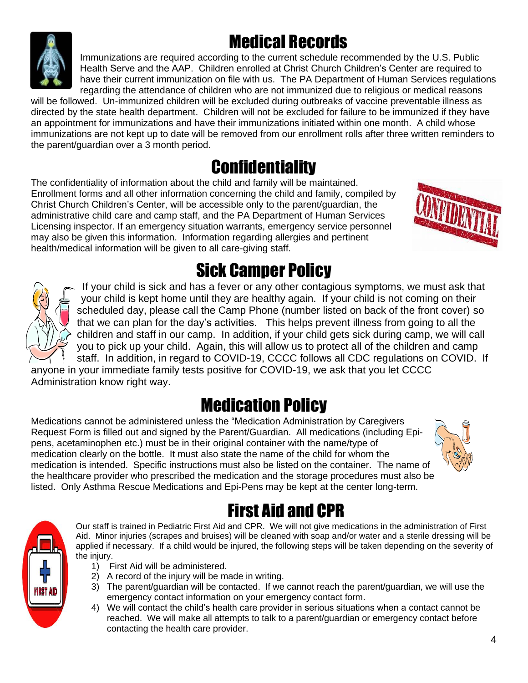# Medical Records

Immunizations are required according to the current schedule recommended by the U.S. Public Health Serve and the AAP. Children enrolled at Christ Church Children's Center are required to have their current immunization on file with us. The PA Department of Human Services regulations regarding the attendance of children who are not immunized due to religious or medical reasons

will be followed. Un-immunized children will be excluded during outbreaks of vaccine preventable illness as directed by the state health department. Children will not be excluded for failure to be immunized if they have an appointment for immunizations and have their immunizations initiated within one month. A child whose immunizations are not kept up to date will be removed from our enrollment rolls after three written reminders to the parent/guardian over a 3 month period.

### **Confidentiality**

The confidentiality of information about the child and family will be maintained. Enrollment forms and all other information concerning the child and family, compiled by Christ Church Children's Center, will be accessible only to the parent/guardian, the administrative child care and camp staff, and the PA Department of Human Services Licensing inspector. If an emergency situation warrants, emergency service personnel may also be given this information. Information regarding allergies and pertinent health/medical information will be given to all care-giving staff.

## Sick Camper Policy

If your child is sick and has a fever or any other contagious symptoms, we must ask that your child is kept home until they are healthy again. If your child is not coming on their scheduled day, please call the Camp Phone (number listed on back of the front cover) so that we can plan for the day's activities. This helps prevent illness from going to all the children and staff in our camp. In addition, if your child gets sick during camp, we will call you to pick up your child. Again, this will allow us to protect all of the children and camp staff. In addition, in regard to COVID-19, CCCC follows all CDC regulations on COVID. If

anyone in your immediate family tests positive for COVID-19, we ask that you let CCCC Administration know right way.

## Medication Policy

Medications cannot be administered unless the "Medication Administration by Caregivers Request Form is filled out and signed by the Parent/Guardian. All medications (including Epipens, acetaminophen etc.) must be in their original container with the name/type of medication clearly on the bottle. It must also state the name of the child for whom the medication is intended. Specific instructions must also be listed on the container. The name of the healthcare provider who prescribed the medication and the storage procedures must also be listed. Only Asthma Rescue Medications and Epi-Pens may be kept at the center long-term.

### First Aid and CPR

Our staff is trained in Pediatric First Aid and CPR. We will not give medications in the administration of First Aid. Minor injuries (scrapes and bruises) will be cleaned with soap and/or water and a sterile dressing will be applied if necessary. If a child would be injured, the following steps will be taken depending on the severity of the injury.

- 1) First Aid will be administered.
- 2) A record of the injury will be made in writing.
- 3) The parent/guardian will be contacted. If we cannot reach the parent/guardian, we will use the emergency contact information on your emergency contact form.
- 4) We will contact the child's health care provider in serious situations when a contact cannot be reached. We will make all attempts to talk to a parent/guardian or emergency contact before contacting the health care provider.









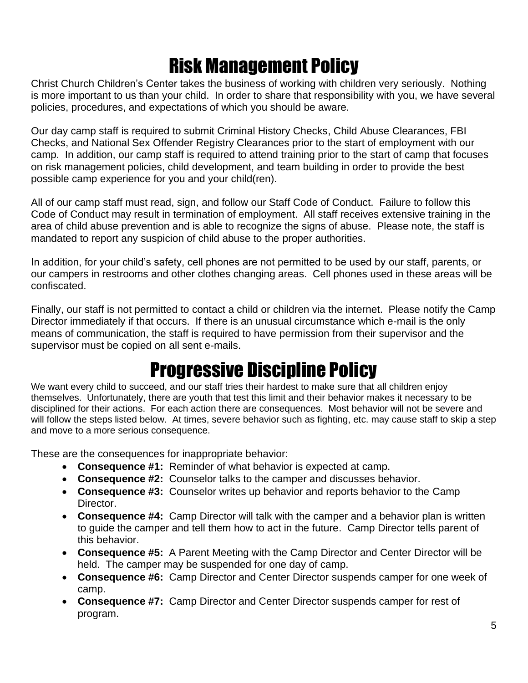## Risk Management Policy

Christ Church Children's Center takes the business of working with children very seriously. Nothing is more important to us than your child. In order to share that responsibility with you, we have several policies, procedures, and expectations of which you should be aware.

Our day camp staff is required to submit Criminal History Checks, Child Abuse Clearances, FBI Checks, and National Sex Offender Registry Clearances prior to the start of employment with our camp. In addition, our camp staff is required to attend training prior to the start of camp that focuses on risk management policies, child development, and team building in order to provide the best possible camp experience for you and your child(ren).

All of our camp staff must read, sign, and follow our Staff Code of Conduct. Failure to follow this Code of Conduct may result in termination of employment. All staff receives extensive training in the area of child abuse prevention and is able to recognize the signs of abuse. Please note, the staff is mandated to report any suspicion of child abuse to the proper authorities.

In addition, for your child's safety, cell phones are not permitted to be used by our staff, parents, or our campers in restrooms and other clothes changing areas. Cell phones used in these areas will be confiscated.

Finally, our staff is not permitted to contact a child or children via the internet. Please notify the Camp Director immediately if that occurs. If there is an unusual circumstance which e-mail is the only means of communication, the staff is required to have permission from their supervisor and the supervisor must be copied on all sent e-mails.

#### Progressive Discipline Policy

We want every child to succeed, and our staff tries their hardest to make sure that all children enjoy themselves. Unfortunately, there are youth that test this limit and their behavior makes it necessary to be disciplined for their actions. For each action there are consequences. Most behavior will not be severe and will follow the steps listed below. At times, severe behavior such as fighting, etc. may cause staff to skip a step and move to a more serious consequence.

These are the consequences for inappropriate behavior:

- **Consequence #1:** Reminder of what behavior is expected at camp.
- **Consequence #2:** Counselor talks to the camper and discusses behavior.
- **Consequence #3:** Counselor writes up behavior and reports behavior to the Camp Director.
- **Consequence #4:** Camp Director will talk with the camper and a behavior plan is written to guide the camper and tell them how to act in the future. Camp Director tells parent of this behavior.
- **Consequence #5:** A Parent Meeting with the Camp Director and Center Director will be held. The camper may be suspended for one day of camp.
- **Consequence #6:** Camp Director and Center Director suspends camper for one week of camp.
- **Consequence #7:** Camp Director and Center Director suspends camper for rest of program.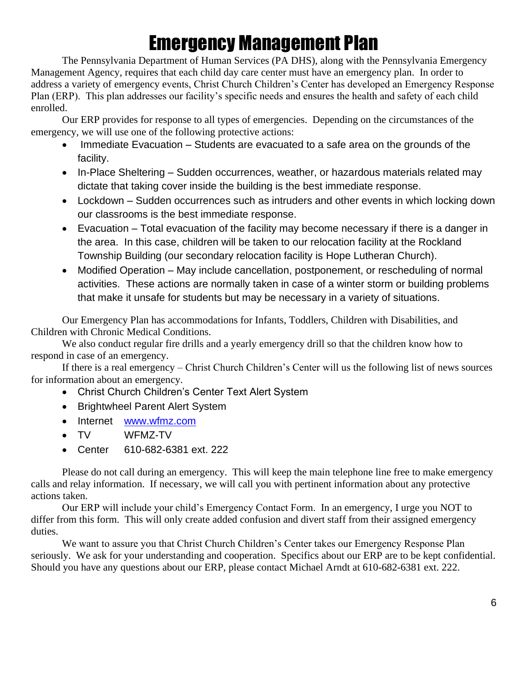## Emergency Management Plan

The Pennsylvania Department of Human Services (PA DHS), along with the Pennsylvania Emergency Management Agency, requires that each child day care center must have an emergency plan. In order to address a variety of emergency events, Christ Church Children's Center has developed an Emergency Response Plan (ERP). This plan addresses our facility's specific needs and ensures the health and safety of each child enrolled.

Our ERP provides for response to all types of emergencies. Depending on the circumstances of the emergency, we will use one of the following protective actions:

- Immediate Evacuation Students are evacuated to a safe area on the grounds of the facility.
- In-Place Sheltering Sudden occurrences, weather, or hazardous materials related may dictate that taking cover inside the building is the best immediate response.
- Lockdown Sudden occurrences such as intruders and other events in which locking down our classrooms is the best immediate response.
- Evacuation Total evacuation of the facility may become necessary if there is a danger in the area. In this case, children will be taken to our relocation facility at the Rockland Township Building (our secondary relocation facility is Hope Lutheran Church).
- Modified Operation May include cancellation, postponement, or rescheduling of normal activities. These actions are normally taken in case of a winter storm or building problems that make it unsafe for students but may be necessary in a variety of situations.

Our Emergency Plan has accommodations for Infants, Toddlers, Children with Disabilities, and Children with Chronic Medical Conditions.

We also conduct regular fire drills and a yearly emergency drill so that the children know how to respond in case of an emergency.

If there is a real emergency – Christ Church Children's Center will us the following list of news sources for information about an emergency.

- Christ Church Children's Center Text Alert System
- Brightwheel Parent Alert System
- Internet [www.wfmz.com](http://www.wfmz.com/)
- TV WFMZ-TV
- Center 610-682-6381 ext. 222

Please do not call during an emergency. This will keep the main telephone line free to make emergency calls and relay information. If necessary, we will call you with pertinent information about any protective actions taken.

Our ERP will include your child's Emergency Contact Form. In an emergency, I urge you NOT to differ from this form. This will only create added confusion and divert staff from their assigned emergency duties.

We want to assure you that Christ Church Children's Center takes our Emergency Response Plan seriously. We ask for your understanding and cooperation. Specifics about our ERP are to be kept confidential. Should you have any questions about our ERP, please contact Michael Arndt at 610-682-6381 ext. 222.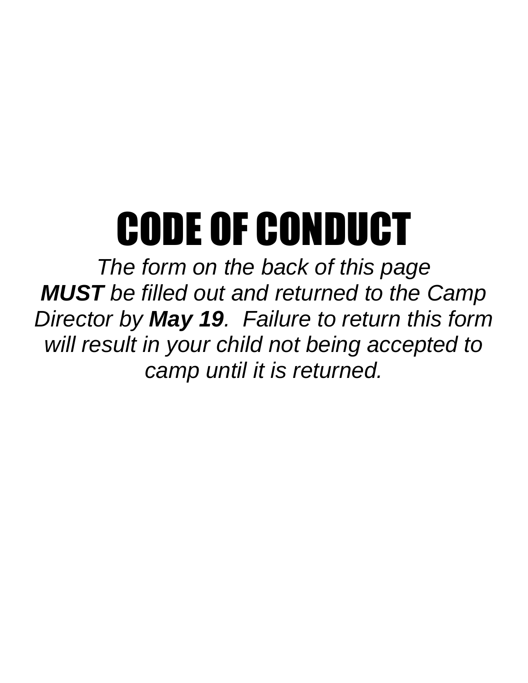# CODE OF CONDUCT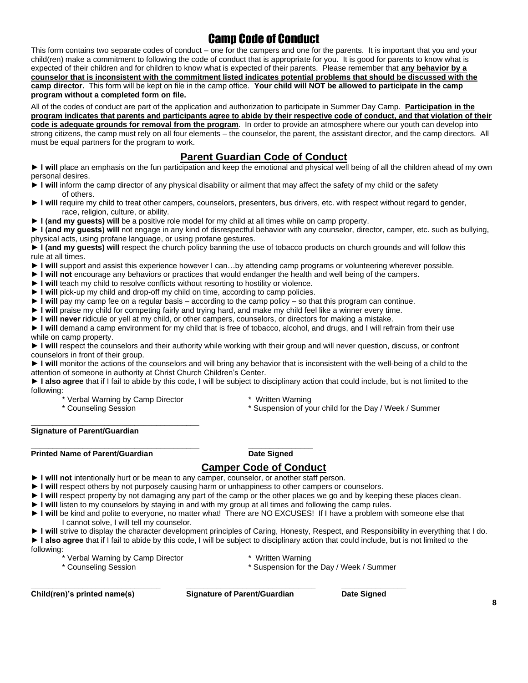#### Camp Code of Conduct

This form contains two separate codes of conduct – one for the campers and one for the parents. It is important that you and your child(ren) make a commitment to following the code of conduct that is appropriate for you. It is good for parents to know what is expected of their children and for children to know what is expected of their parents. Please remember that **any behavior by a counselor that is inconsistent with the commitment listed indicates potential problems that should be discussed with the camp director.** This form will be kept on file in the camp office. **Your child will NOT be allowed to participate in the camp program without a completed form on file.**

All of the codes of conduct are part of the application and authorization to participate in Summer Day Camp. **Participation in the program indicates that parents and participants agree to abide by their respective code of conduct, and that violation of their code is adequate grounds for removal from the program**. In order to provide an atmosphere where our youth can develop into strong citizens, the camp must rely on all four elements – the counselor, the parent, the assistant director, and the camp directors. All must be equal partners for the program to work.

#### **Parent Guardian Code of Conduct**

► I will place an emphasis on the fun participation and keep the emotional and physical well being of all the children ahead of my own personal desires.

- **► I will** inform the camp director of any physical disability or ailment that may affect the safety of my child or the safety of others.
- ► I will require my child to treat other campers, counselors, presenters, bus drivers, etc. with respect without regard to gender, race, religion, culture, or ability.
- **► I (and my guests) will** be a positive role model for my child at all times while on camp property.

► I (and my guests) will not engage in any kind of disrespectful behavior with any counselor, director, camper, etc. such as bullying, physical acts, using profane language, or using profane gestures.

**► I (and my guests) will** respect the church policy banning the use of tobacco products on church grounds and will follow this rule at all times.

- **► I will** support and assist this experience however I can…by attending camp programs or volunteering wherever possible.
- **► I will not** encourage any behaviors or practices that would endanger the health and well being of the campers.
- **► I will** teach my child to resolve conflicts without resorting to hostility or violence.
- **► I will** pick-up my child and drop-off my child on time, according to camp policies.

**\_\_\_\_\_\_\_\_\_\_\_\_\_\_\_\_\_\_\_\_\_\_\_\_\_\_\_\_\_\_\_\_\_\_\_\_\_\_\_ \_\_\_\_\_\_\_\_\_\_\_\_\_\_\_**

- **► I will** pay my camp fee on a regular basis according to the camp policy so that this program can continue.
- **► I will** praise my child for competing fairly and trying hard, and make my child feel like a winner every time.
- **► I will never** ridicule or yell at my child, or other campers, counselors, or directors for making a mistake.

**► I will** demand a camp environment for my child that is free of tobacco, alcohol, and drugs, and I will refrain from their use while on camp property.

**► I will** respect the counselors and their authority while working with their group and will never question, discuss, or confront counselors in front of their group.

► I will monitor the actions of the counselors and will bring any behavior that is inconsistent with the well-being of a child to the attention of someone in authority at Christ Church Children's Center.

**► I also agree** that if I fail to abide by this code, I will be subject to disciplinary action that could include, but is not limited to the following:

- \* Verbal Warning by Camp Director \* Written Warning
- 
- 
- \* Counseling Session \* The Counseling Session \* Suspension of your child for the Day / Week / Summer

#### **\_\_\_\_\_\_\_\_\_\_\_\_\_\_\_\_\_\_\_\_\_\_\_\_\_\_\_\_\_\_\_\_\_\_\_\_\_\_\_ Signature of Parent/Guardian**

**Printed Name of Parent/Guardian Date Signed** 

#### **Camper Code of Conduct**

- ► I will not intentionally hurt or be mean to any camper, counselor, or another staff person.
- **► I will** respect others by not purposely causing harm or unhappiness to other campers or counselors.
- **► I will** respect property by not damaging any part of the camp or the other places we go and by keeping these places clean.
- **► I will** listen to my counselors by staying in and with my group at all times and following the camp rules.
- **► I will** be kind and polite to everyone, no matter what! There are NO EXCUSES! If I have a problem with someone else that I cannot solve, I will tell my counselor.

**► I will** strive to display the character development principles of Caring, Honesty, Respect, and Responsibility in everything that I do. **► I also agree** that if I fail to abide by this code, I will be subject to disciplinary action that could include, but is not limited to the following:

- \* Verbal Warning by Camp Director \* Written Warning
	-
- \* Counseling Session \* Suspension for the Day / Week / Summer
- 

**\_\_\_\_\_\_\_\_\_\_\_\_\_\_\_\_\_\_\_\_\_\_\_\_\_\_\_\_\_\_ \_\_\_\_\_\_\_\_\_\_\_\_\_\_\_\_\_\_\_\_\_\_\_\_\_\_\_\_\_\_ \_\_\_\_\_\_\_\_\_\_\_\_\_\_\_**

**Child(ren)'s printed name(s) Signature of Parent/Guardian Date Signed**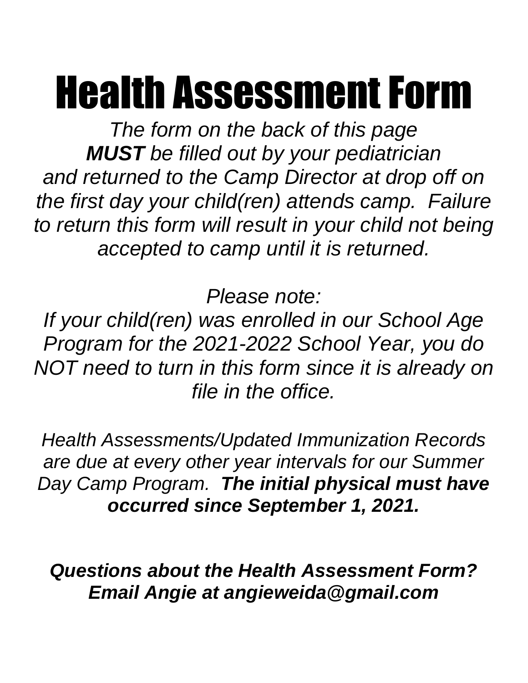# Health Assessment Form

*The form on the back of this page MUST be filled out by your pediatrician and returned to the Camp Director at drop off on the first day your child(ren) attends camp. Failure to return this form will result in your child not being accepted to camp until it is returned.*

*Please note:*

*If your child(ren) was enrolled in our School Age Program for the 2021-2022 School Year, you do NOT need to turn in this form since it is already on file in the office.*

*Health Assessments/Updated Immunization Records are due at every other year intervals for our Summer Day Camp Program. The initial physical must have occurred since September 1, 2021.*

*Questions about the Health Assessment Form? Email Angie at angieweida@gmail.com*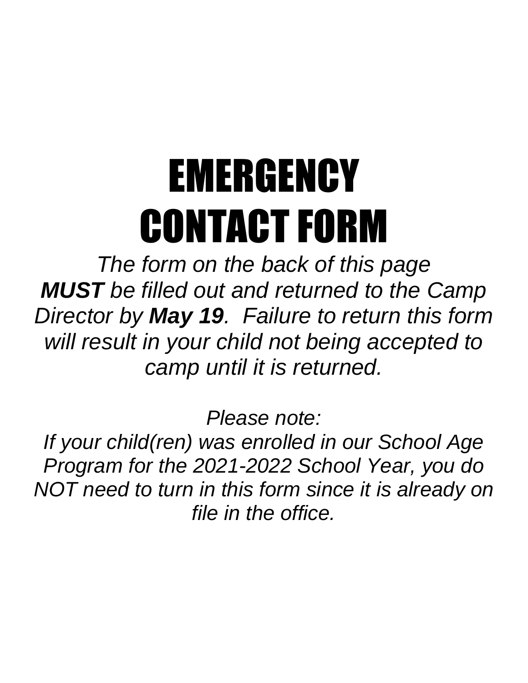# EMERGENCY CONTACT FORM

*The form on the back of this page MUST be filled out and returned to the Camp Director by May 19. Failure to return this form will result in your child not being accepted to camp until it is returned.*

*Please note:*

*If your child(ren) was enrolled in our School Age Program for the 2021-2022 School Year, you do NOT need to turn in this form since it is already on file in the office.*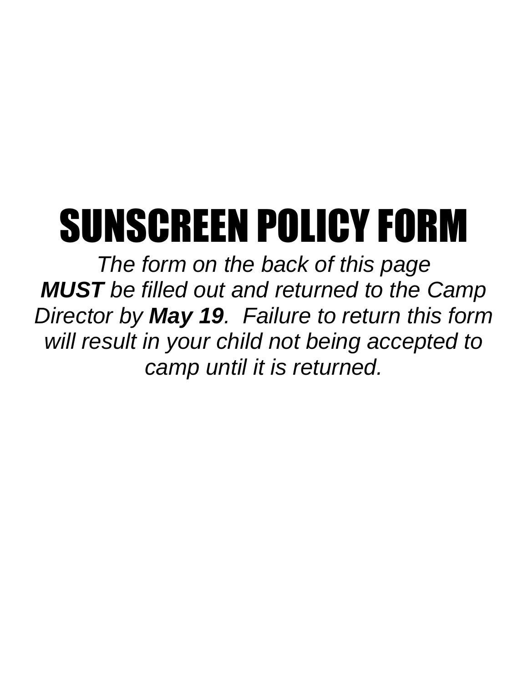# SUNSCREEN POLICY FORM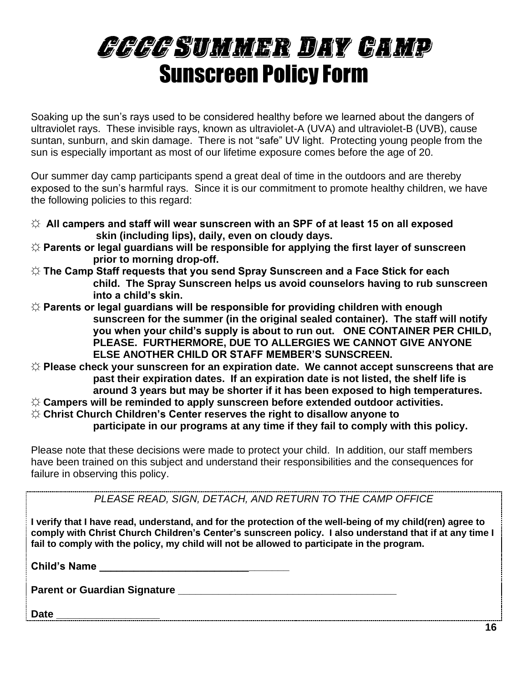# CCCC Summer Day Camp Sunscreen Policy Form

Soaking up the sun's rays used to be considered healthy before we learned about the dangers of ultraviolet rays. These invisible rays, known as ultraviolet-A (UVA) and ultraviolet-B (UVB), cause suntan, sunburn, and skin damage. There is not "safe" UV light. Protecting young people from the sun is especially important as most of our lifetime exposure comes before the age of 20.

Our summer day camp participants spend a great deal of time in the outdoors and are thereby exposed to the sun's harmful rays. Since it is our commitment to promote healthy children, we have the following policies to this regard:

- **☼ All campers and staff will wear sunscreen with an SPF of at least 15 on all exposed skin (including lips), daily, even on cloudy days.**
- **☼ Parents or legal guardians will be responsible for applying the first layer of sunscreen prior to morning drop-off.**
- **☼ The Camp Staff requests that you send Spray Sunscreen and a Face Stick for each child. The Spray Sunscreen helps us avoid counselors having to rub sunscreen into a child's skin.**
- **☼ Parents or legal guardians will be responsible for providing children with enough sunscreen for the summer (in the original sealed container). The staff will notify you when your child's supply is about to run out. ONE CONTAINER PER CHILD, PLEASE. FURTHERMORE, DUE TO ALLERGIES WE CANNOT GIVE ANYONE ELSE ANOTHER CHILD OR STAFF MEMBER'S SUNSCREEN.**
- **☼ Please check your sunscreen for an expiration date. We cannot accept sunscreens that are past their expiration dates. If an expiration date is not listed, the shelf life is around 3 years but may be shorter if it has been exposed to high temperatures.**
- **☼ Campers will be reminded to apply sunscreen before extended outdoor activities.**
- **☼ Christ Church Children's Center reserves the right to disallow anyone to**

**participate in our programs at any time if they fail to comply with this policy.**

Please note that these decisions were made to protect your child. In addition, our staff members have been trained on this subject and understand their responsibilities and the consequences for failure in observing this policy.

*PLEASE READ, SIGN, DETACH, AND RETURN TO THE CAMP OFFICE*

**I verify that I have read, understand, and for the protection of the well-being of my child(ren) agree to comply with Christ Church Children's Center's sunscreen policy. I also understand that if at any time I fail to comply with the policy, my child will not be allowed to participate in the program.**

**Child's Name Designation** 

**Parent or Guardian Signature**  with the control of the control of the control of the control of the control of the control of the control of the control of the control of the control of the control of the control of the c

**Date \_\_\_\_\_\_\_\_\_\_\_\_\_\_\_\_\_\_**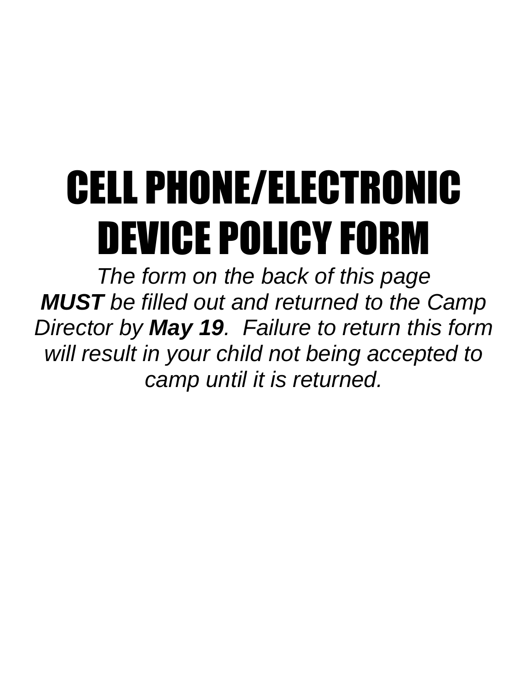# CELL PHONE/ELECTRONIC DEVICE POLICY FORM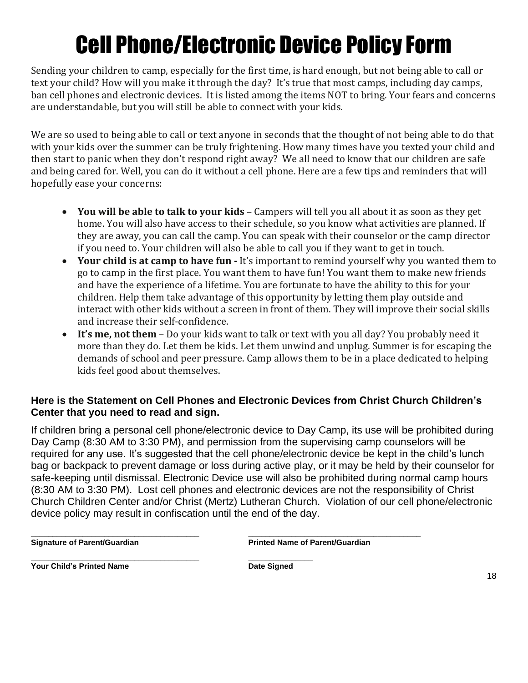# Cell Phone/Electronic Device Policy Form

Sending your children to camp, especially for the first time, is hard enough, but not being able to call or text your child? How will you make it through the day? It's true that most camps, including day camps, ban cell phones and electronic devices. It is listed among the items NOT to bring. Your fears and concerns are understandable, but you will still be able to connect with your kids.

We are so used to being able to call or text anyone in seconds that the thought of not being able to do that with your kids over the summer can be truly frightening. How many times have you texted your child and then start to panic when they don't respond right away? We all need to know that our children are safe and being cared for. Well, you can do it without a cell phone. Here are a few tips and reminders that will hopefully ease your concerns:

- **You will be able to talk to your kids** Campers will tell you all about it as soon as they get home. You will also have access to their schedule, so you know what activities are planned. If they are away, you can call the camp. You can speak with their counselor or the camp director if you need to. Your children will also be able to call you if they want to get in touch.
- **Your child is at camp to have fun -** It's important to remind yourself why you wanted them to go to camp in the first place. You want them to have fun! You want them to make new friends and have the experience of a lifetime. You are fortunate to have the ability to this for your children. Help them take advantage of this opportunity by letting them play outside and interact with other kids without a screen in front of them. They will improve their social skills and increase their self-confidence.
- **It's me, not them** Do your kids want to talk or text with you all day? You probably need it more than they do. Let them be kids. Let them unwind and unplug. Summer is for escaping the demands of school and peer pressure. Camp allows them to be in a place dedicated to helping kids feel good about themselves.

#### **Here is the Statement on Cell Phones and Electronic Devices from Christ Church Children's Center that you need to read and sign.**

If children bring a personal cell phone/electronic device to Day Camp, its use will be prohibited during Day Camp (8:30 AM to 3:30 PM), and permission from the supervising camp counselors will be required for any use. It's suggested that the cell phone/electronic device be kept in the child's lunch bag or backpack to prevent damage or loss during active play, or it may be held by their counselor for safe-keeping until dismissal. Electronic Device use will also be prohibited during normal camp hours (8:30 AM to 3:30 PM). Lost cell phones and electronic devices are not the responsibility of Christ Church Children Center and/or Christ (Mertz) Lutheran Church. Violation of our cell phone/electronic device policy may result in confiscation until the end of the day.

**\_\_\_\_\_\_\_\_\_\_\_\_\_\_\_\_\_\_\_\_\_\_\_\_\_\_\_\_\_\_\_\_\_\_\_\_\_\_\_ \_\_\_\_\_\_\_\_\_\_\_\_\_\_\_\_\_\_\_\_\_\_\_\_\_\_\_\_\_\_\_\_\_\_\_\_\_\_\_\_**

**Signature of Parent/Guardian Printed Name of Parent/Guardian**

**\_\_\_\_\_\_\_\_\_\_\_\_\_\_\_\_\_\_\_\_\_\_\_\_\_\_\_\_\_\_\_\_\_\_\_\_\_\_\_ \_\_\_\_\_\_\_\_\_\_\_\_\_\_\_ Your Child's Printed Name Date Signed**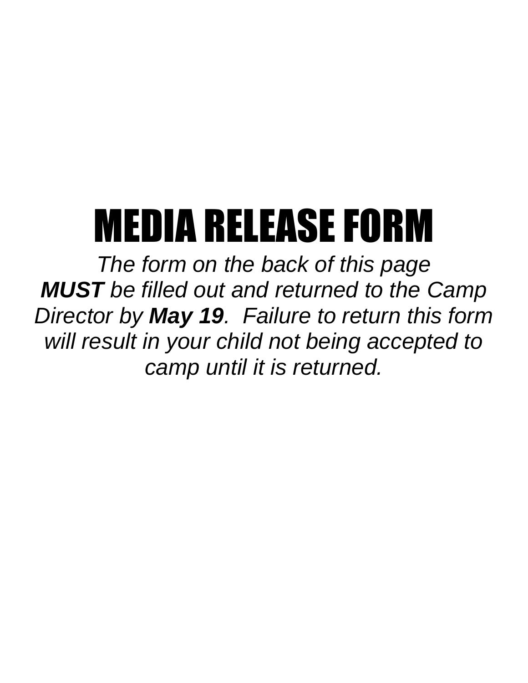# MEDIA RELEASE FORM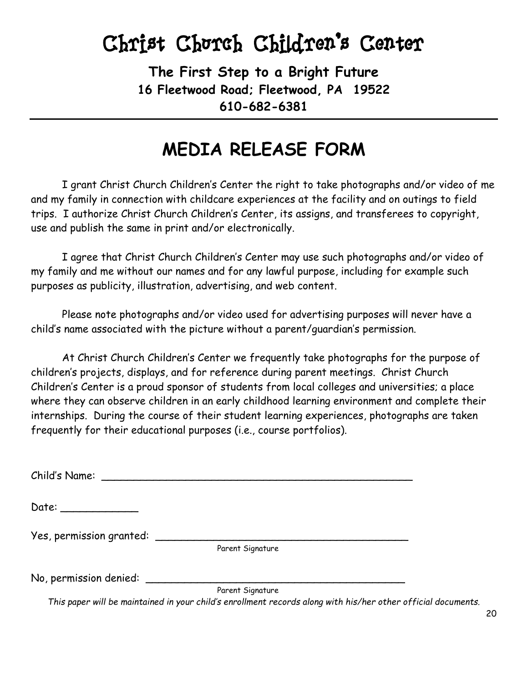**The First Step to a Bright Future 16 Fleetwood Road; Fleetwood, PA 19522 610-682-6381**

#### **MEDIA RELEASE FORM**

I grant Christ Church Children's Center the right to take photographs and/or video of me and my family in connection with childcare experiences at the facility and on outings to field trips. I authorize Christ Church Children's Center, its assigns, and transferees to copyright, use and publish the same in print and/or electronically.

I agree that Christ Church Children's Center may use such photographs and/or video of my family and me without our names and for any lawful purpose, including for example such purposes as publicity, illustration, advertising, and web content.

Please note photographs and/or video used for advertising purposes will never have a child's name associated with the picture without a parent/guardian's permission.

At Christ Church Children's Center we frequently take photographs for the purpose of children's projects, displays, and for reference during parent meetings. Christ Church Children's Center is a proud sponsor of students from local colleges and universities; a place where they can observe children in an early childhood learning environment and complete their internships. During the course of their student learning experiences, photographs are taken frequently for their educational purposes (i.e., course portfolios).

Child's Name: \_\_\_\_\_\_\_\_\_\_\_\_\_\_\_\_\_\_\_\_\_\_\_\_\_\_\_\_\_\_\_\_\_\_\_\_\_\_\_\_\_\_\_\_\_\_\_\_

Date: \_\_\_\_\_\_\_\_\_\_\_\_

Yes, permission granted: \_\_\_\_\_\_\_\_\_\_\_\_\_\_\_\_\_\_\_\_\_\_\_\_\_\_\_\_\_\_\_\_\_\_\_\_\_\_\_

Parent Signature

No, permission denied: \_\_\_\_\_\_\_\_\_\_\_\_\_\_\_\_\_\_\_\_\_\_\_\_\_\_\_\_\_\_\_\_\_\_\_\_\_\_\_\_

Parent Signature

*This paper will be maintained in your child's enrollment records along with his/her other official documents.*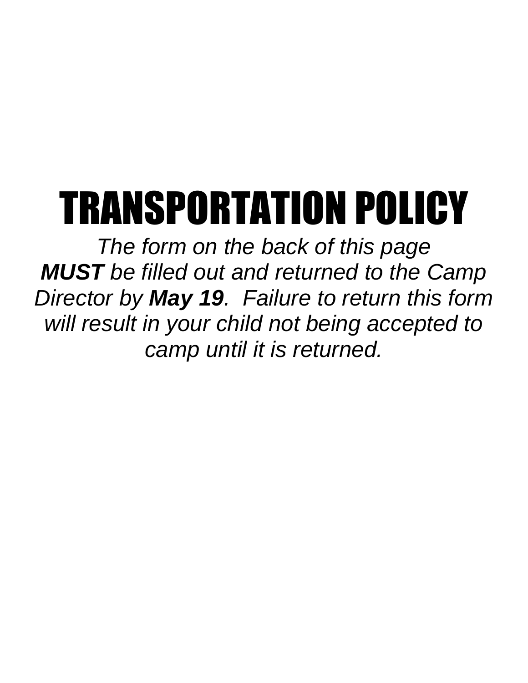# TRANSPORTATION POLICY